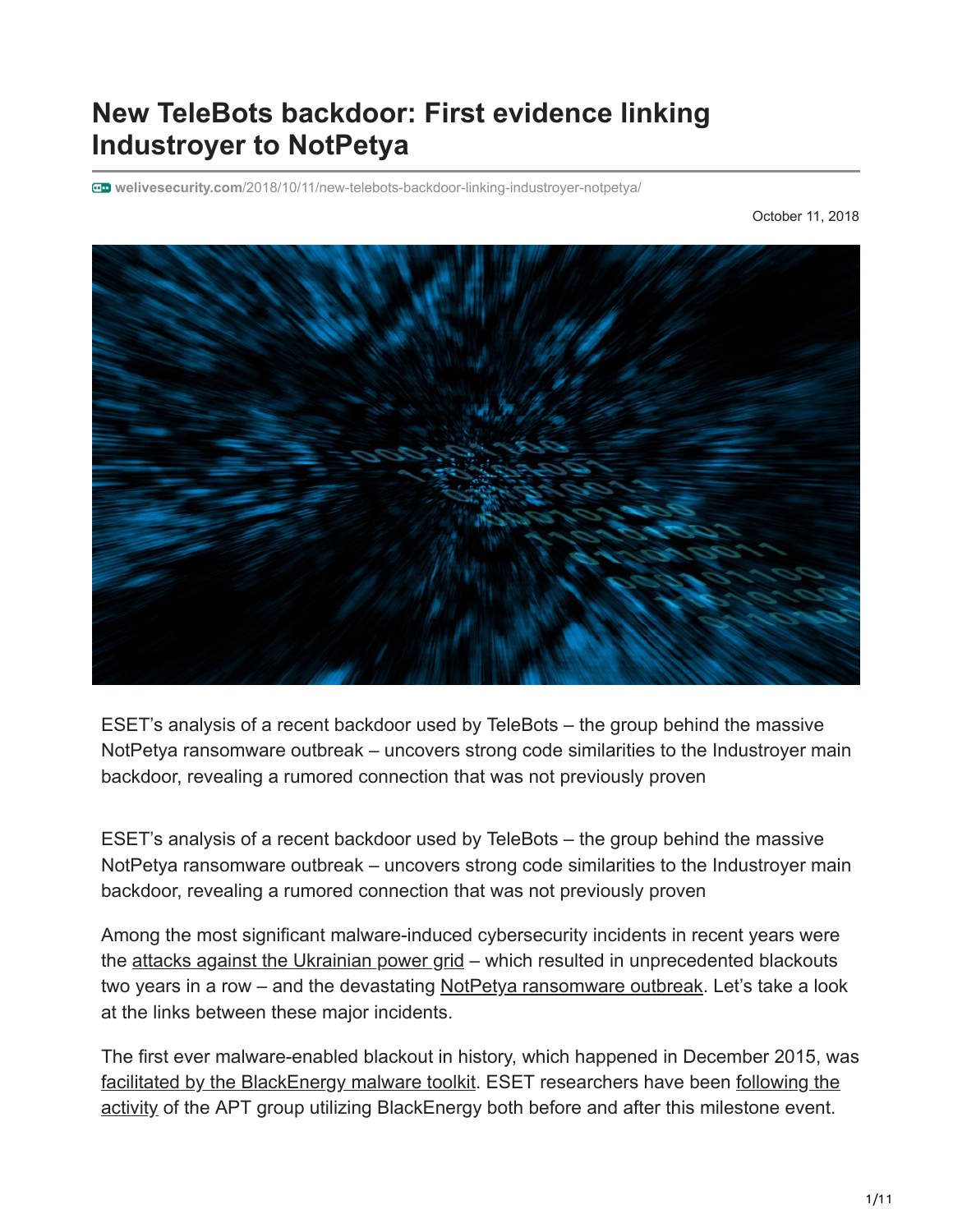# **New TeleBots backdoor: First evidence linking Industroyer to NotPetya**

**welivesecurity.com**[/2018/10/11/new-telebots-backdoor-linking-industroyer-notpetya/](https://www.welivesecurity.com/2018/10/11/new-telebots-backdoor-linking-industroyer-notpetya/)

October 11, 2018



ESET's analysis of a recent backdoor used by TeleBots – the group behind the massive NotPetya ransomware outbreak – uncovers strong code similarities to the Industroyer main backdoor, revealing a rumored connection that was not previously proven

ESET's analysis of a recent backdoor used by TeleBots – the group behind the massive NotPetya ransomware outbreak – uncovers strong code similarities to the Industroyer main backdoor, revealing a rumored connection that was not previously proven

Among the most significant malware-induced cybersecurity incidents in recent years were the [attacks against the Ukrainian power grid](https://www.welivesecurity.com/2017/06/12/industroyer-biggest-threat-industrial-control-systems-since-stuxnet/) – which resulted in unprecedented blackouts two years in a row – and the devastating [NotPetya ransomware outbreak.](https://www.welivesecurity.com/2017/06/27/new-ransomware-attack-hits-ukraine/) Let's take a look at the links between these major incidents.

The first ever malware-enabled blackout in history, which happened in December 2015, was [facilitated by the BlackEnergy malware toolkit. ESET researchers have been following the](https://www.welivesecurity.com/2014/10/14/cve-2014-4114-details-august-blackenergy-powerpoint-campaigns/) activity of the APT group utilizing BlackEnergy both before and after this milestone event.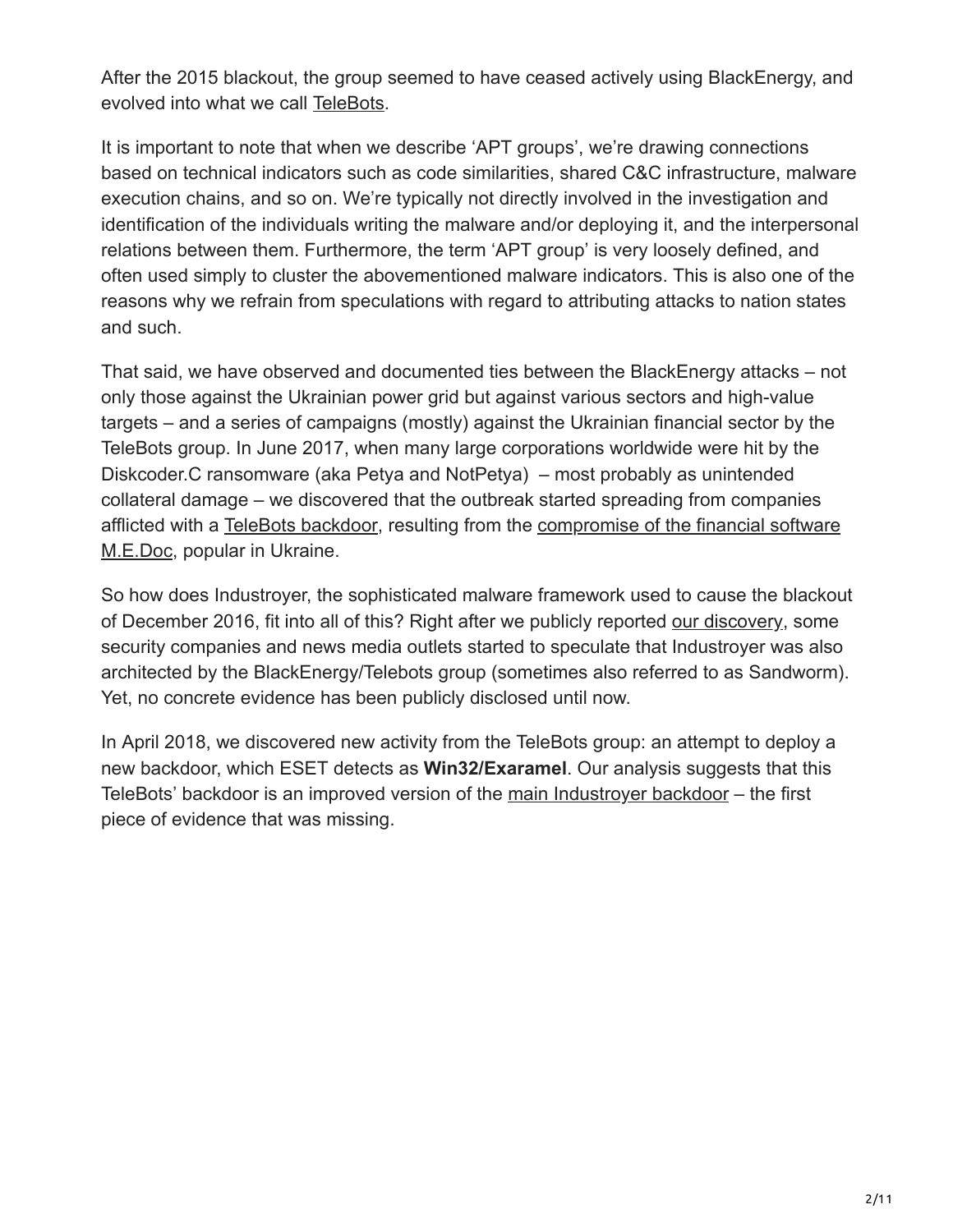After the 2015 blackout, the group seemed to have ceased actively using BlackEnergy, and evolved into what we call [TeleBots](https://www.welivesecurity.com/2016/12/13/rise-telebots-analyzing-disruptive-killdisk-attacks/).

It is important to note that when we describe 'APT groups', we're drawing connections based on technical indicators such as code similarities, shared C&C infrastructure, malware execution chains, and so on. We're typically not directly involved in the investigation and identification of the individuals writing the malware and/or deploying it, and the interpersonal relations between them. Furthermore, the term 'APT group' is very loosely defined, and often used simply to cluster the abovementioned malware indicators. This is also one of the reasons why we refrain from speculations with regard to attributing attacks to nation states and such.

That said, we have observed and documented ties between the BlackEnergy attacks – not only those against the Ukrainian power grid but against various sectors and high-value targets – and a series of campaigns (mostly) against the Ukrainian financial sector by the TeleBots group. In June 2017, when many large corporations worldwide were hit by the Diskcoder.C ransomware (aka Petya and NotPetya) – most probably as unintended collateral damage – we discovered that the outbreak started spreading from companies [afflicted with a TeleBots backdoor, resulting from the compromise of the financial software](https://www.welivesecurity.com/2017/06/30/telebots-back-supply-chain-attacks-against-ukraine/) M.E.Doc, popular in Ukraine.

So how does Industroyer, the sophisticated malware framework used to cause the blackout of December 2016, fit into all of this? Right after we publicly reported [our discovery](https://www.welivesecurity.com/2017/06/12/industroyer-biggest-threat-industrial-control-systems-since-stuxnet/), some security companies and news media outlets started to speculate that Industroyer was also architected by the BlackEnergy/Telebots group (sometimes also referred to as Sandworm). Yet, no concrete evidence has been publicly disclosed until now.

In April 2018, we discovered new activity from the TeleBots group: an attempt to deploy a new backdoor, which ESET detects as **Win32/Exaramel**. Our analysis suggests that this TeleBots' backdoor is an improved version of the main Industrover backdoor – the first piece of evidence that was missing.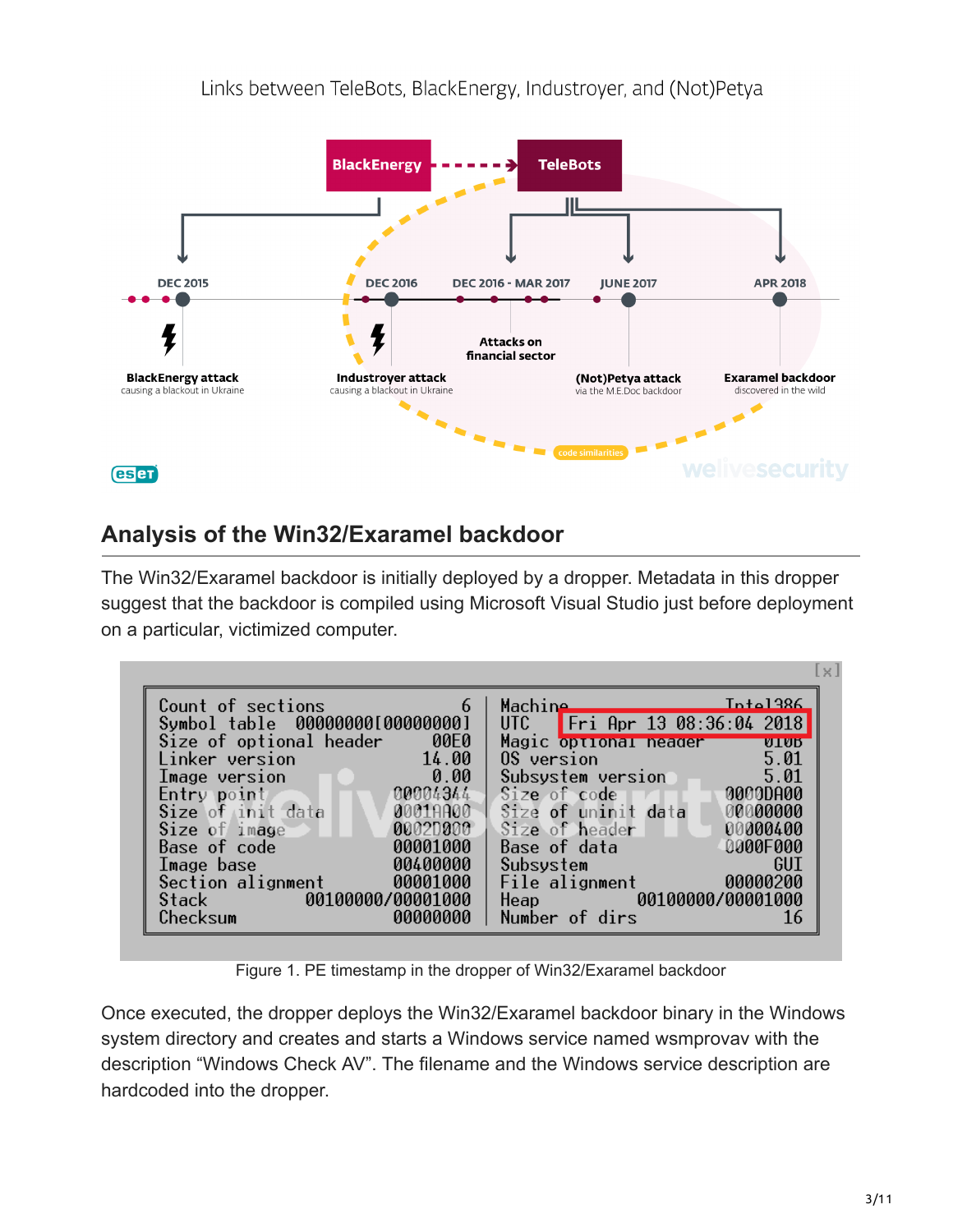

## **Analysis of the Win32/Exaramel backdoor**

The Win32/Exaramel backdoor is initially deployed by a dropper. Metadata in this dropper suggest that the backdoor is compiled using Microsoft Visual Studio just before deployment on a particular, victimized computer.

| Count of sections<br>$\sim$ 6                                                            | Inta1386<br>Machine ___         |
|------------------------------------------------------------------------------------------|---------------------------------|
| Symbol table 000000001000000001                                                          | UTC Fri Apr 13 08:36:04 2018    |
| Size of optional header 00E0                                                             | Magic optional neader vivo      |
| 14.00<br>Linker version<br><u> 1999 - Johann Barbara, martxa a</u>                       | 5.01<br>0S version              |
| $\begin{array}{ c c c c }\n\hline\n\text{1} & \text{0.00}\n\end{array}$<br>Image version | Subsystem version 5.01          |
| Entry point<br>$(00004344 - )$                                                           | Size of code       30000DA00    |
| Size of init data 3001AA00                                                               | Size of uninit data<br>00000000 |
| Size of image<br>00020000<br>71 I N                                                      | Size of header<br>00000400      |
| 00001000<br>Base of code                                                                 | <b>0000F000</b><br>Base of data |
| 00400000<br>Image base                                                                   | GUT<br>Subsystem                |
| Section alignment 00001000                                                               | File alignment 00000200         |
| Stack 00100000/00001000                                                                  | Heap 00100000/00001000          |
| Checksum<br>00000000                                                                     | Number of dirs<br>16            |

Figure 1. PE timestamp in the dropper of Win32/Exaramel backdoor

Once executed, the dropper deploys the Win32/Exaramel backdoor binary in the Windows system directory and creates and starts a Windows service named wsmprovav with the description "Windows Check AV". The filename and the Windows service description are hardcoded into the dropper.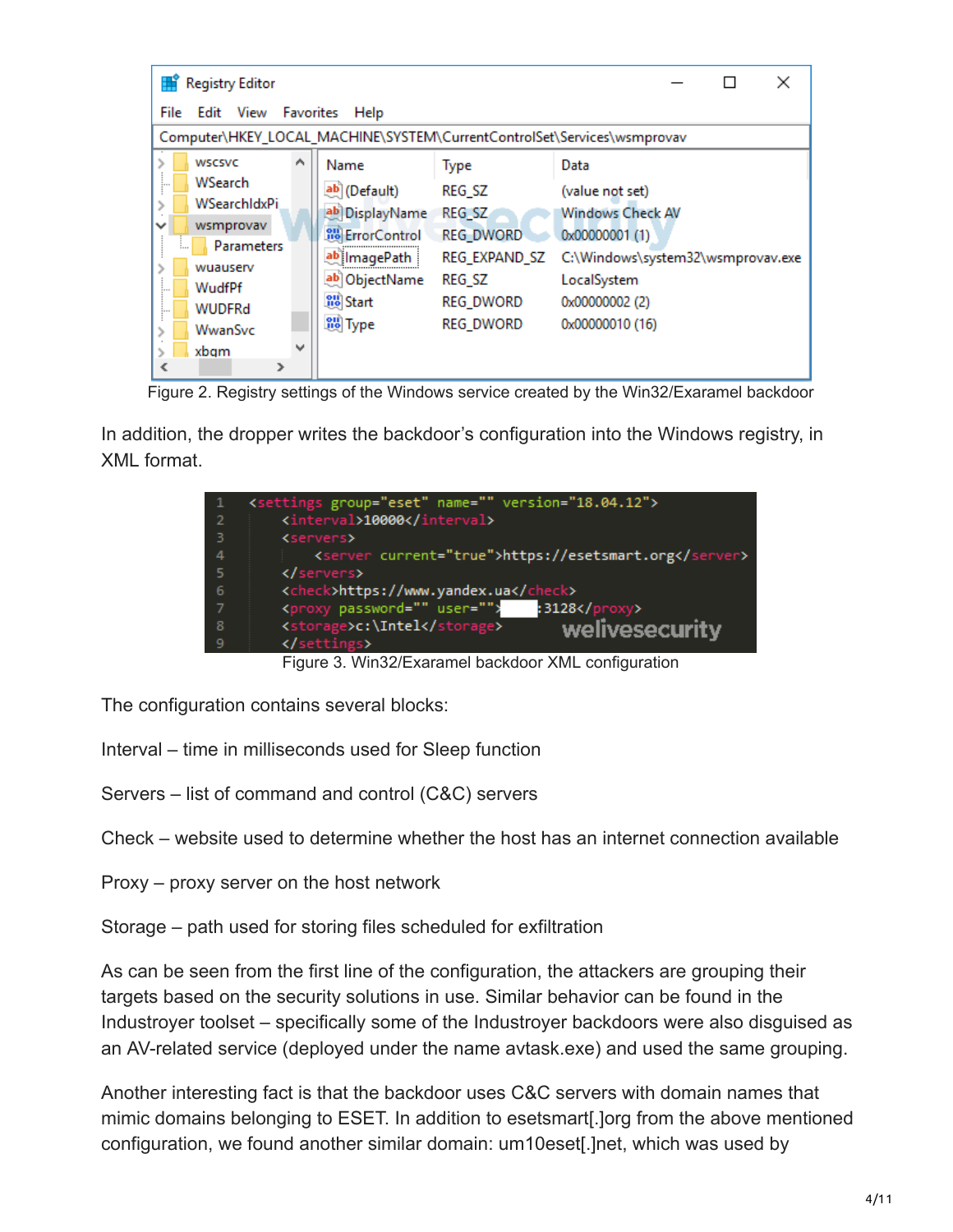| <b>Registry Editor</b><br>×                                                                                       |                         |                  |                                   |
|-------------------------------------------------------------------------------------------------------------------|-------------------------|------------------|-----------------------------------|
| File<br>Edit View<br>Favorites<br>Help<br>Computer\HKEY_LOCAL_MACHINE\SYSTEM\CurrentControlSet\Services\wsmprovav |                         |                  |                                   |
|                                                                                                                   |                         |                  |                                   |
| <b>WSCSVC</b><br>́                                                                                                | Name                    | <b>Type</b>      | Data                              |
| WSearch<br>:                                                                                                      | ab (Default)            | REG SZ           | (value not set)                   |
| WSearchIdxPi                                                                                                      | ab DisplayName          | REG_SZ           | <b>Windows Check AV</b>           |
| wsmprovav                                                                                                         | <b>SHO</b> ErrorControl | <b>REG DWORD</b> | 0x00000001 (1)                    |
| Parameters                                                                                                        | ab ImagePath            | REG EXPAND SZ    | C:\Windows\system32\wsmprovav.exe |
| wuauserv                                                                                                          |                         |                  |                                   |
| WudfPf<br>:                                                                                                       | ab ObjectName           | REG_SZ           | LocalSystem                       |
| <b>WUDFRd</b><br>:                                                                                                | <b>OU</b> Start         | <b>REG_DWORD</b> | 0x00000002 (2)                    |
| WwanSvc                                                                                                           | <b>Co</b> Type          | <b>REG_DWORD</b> | 0x00000010 (16)                   |
| $\checkmark$<br>xbgm                                                                                              |                         |                  |                                   |
| ⋗                                                                                                                 |                         |                  |                                   |

Figure 2. Registry settings of the Windows service created by the Win32/Exaramel backdoor

In addition, the dropper writes the backdoor's configuration into the Windows registry, in XML format.

|                | <settings group="eset" name="" version="18.04.12"></settings> |
|----------------|---------------------------------------------------------------|
| $\overline{2}$ | <interval>10000</interval>                                    |
|                | <servers></servers>                                           |
| -4             | <server current="true">https://esetsmart.org</server>         |
| - 5            |                                                               |
| - 6            | <check>https://www.yandex.ua</check>                          |
|                | <proxy password="" user=""><br/>:3128</proxy>                 |
| - 8            | welivesecurity<br><storage>c:\Intel</storage>                 |
| -9             |                                                               |

Figure 3. Win32/Exaramel backdoor XML configuration

The configuration contains several blocks:

- Interval time in milliseconds used for Sleep function
- Servers list of command and control (C&C) servers
- Check website used to determine whether the host has an internet connection available
- Proxy proxy server on the host network
- Storage path used for storing files scheduled for exfiltration

As can be seen from the first line of the configuration, the attackers are grouping their targets based on the security solutions in use. Similar behavior can be found in the Industroyer toolset – specifically some of the Industroyer backdoors were also disguised as an AV-related service (deployed under the name avtask.exe) and used the same grouping.

Another interesting fact is that the backdoor uses C&C servers with domain names that mimic domains belonging to ESET. In addition to esetsmart[.]org from the above mentioned configuration, we found another similar domain: um10eset[.]net, which was used by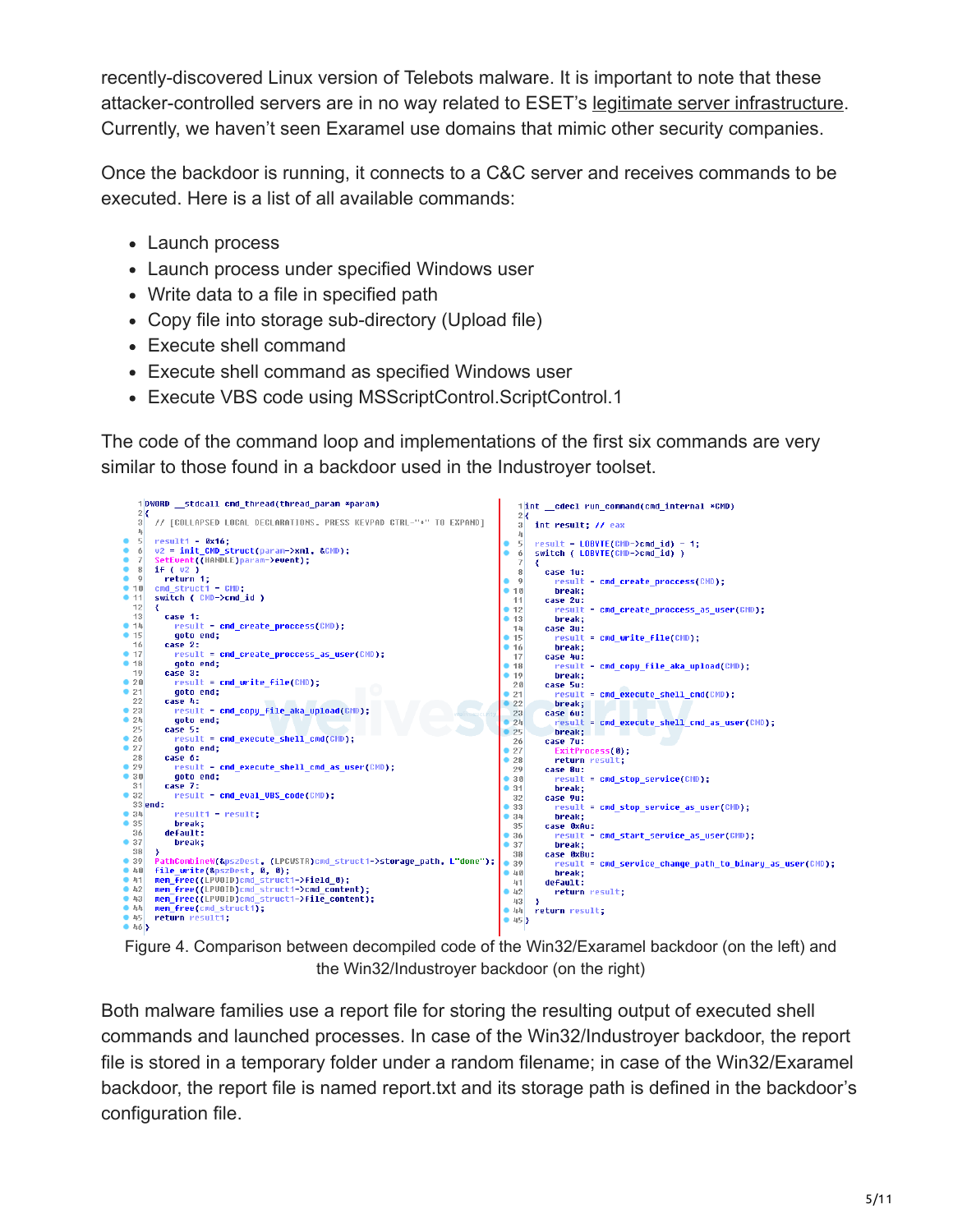recently-discovered Linux version of Telebots malware. It is important to note that these attacker-controlled servers are in no way related to ESET's [legitimate server infrastructure](https://support.eset.com/kb332/?locale=en_US&viewlocale=en_US). Currently, we haven't seen Exaramel use domains that mimic other security companies.

Once the backdoor is running, it connects to a C&C server and receives commands to be executed. Here is a list of all available commands:

- Launch process
- Launch process under specified Windows user
- Write data to a file in specified path
- Copy file into storage sub-directory (Upload file)
- Execute shell command
- Execute shell command as specified Windows user
- Execute VBS code using MSScriptControl.ScriptControl.1

The code of the command loop and implementations of the first six commands are very similar to those found in a backdoor used in the Industroyer toolset.



Figure 4. Comparison between decompiled code of the Win32/Exaramel backdoor (on the left) and the Win32/Industroyer backdoor (on the right)

Both malware families use a report file for storing the resulting output of executed shell commands and launched processes. In case of the Win32/Industroyer backdoor, the report file is stored in a temporary folder under a random filename; in case of the Win32/Exaramel backdoor, the report file is named report.txt and its storage path is defined in the backdoor's configuration file.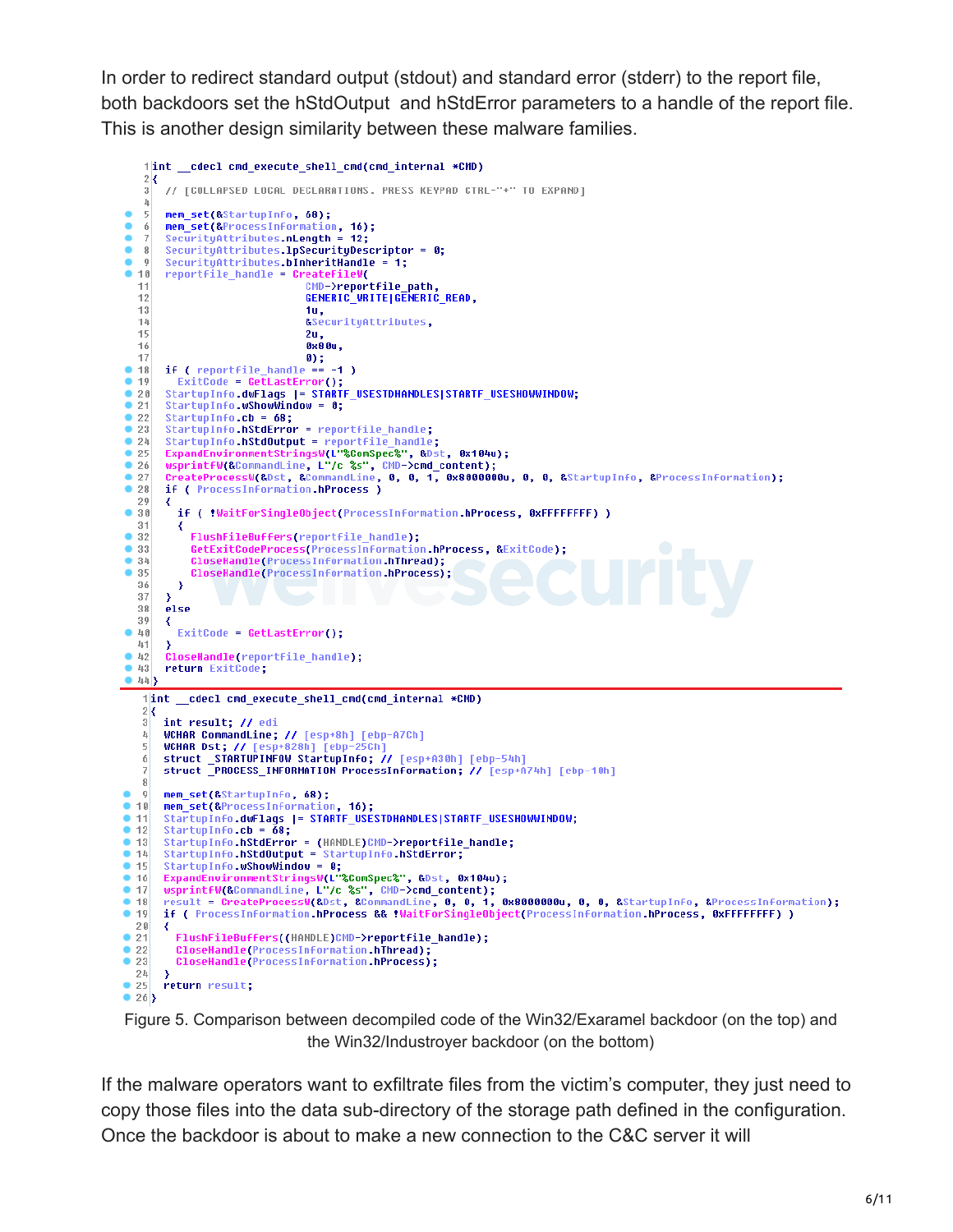In order to redirect standard output (stdout) and standard error (stderr) to the report file, both backdoors set the hStdOutput and hStdError parameters to a handle of the report file. This is another design similarity between these malware families.

```
1|int _cdecl cmd_execute_shell_cmd(cmd_internal *CMD)
    2<sub>1</sub>\overline{3}// [COLLAPSED LOCAL DECLARATIONS. PRESS KEYPAD CTRL-"+" TO EXPAND]
    \mathbf{l}_\parallelmem_set(&StartupInfo, 68);
    \mathbf{5}mem_set(&Startupinro, 00),<br>mem_set(&ProcessInformation, 16);<br>SecurityAttributes.nLength = 12;
\bullet6<sup>1</sup>٠
    \overline{7}٠
        SecurityAttributes.1pSecurityDescriptor = 0;
    8<sup>1</sup>\vert 0 \vertSecurityAttributes bInheritHandle =
CMD->reportfile_path,
   11
                                    GENERIC_WRITE|GENERIC_READ,
   12131u,
                                     ASecurituAttributes
   14152u.0 \times 800,
   1617<br>
18 if ( reportfile_handle == -1 )
• 19ExitCode = GetLastError();
       StartupInfo.dwFlags |= STARTF_USESTDHANDLES|STARTF_USESHOWWINDOW;
20• 21StartupInfo.wShowWindow = 0;922StartupInfo.cb = 68;
\bullet 23
        StartupInfo.hStdError = reportfile_handle;
• 24StartupInfo.hStdOutput = reportfile_handle;
       StartupInfo.hStdOutput = reportfile_handle;<br>ExpandEnvironmentStringsW(L"&ComSpec&", &Dst, 0x104u);<br>wsprintfW(&CommandLine, L"/c %s", CMD->cmd_content);<br>CreateProcessW(&Dst, &CommandLine, 0, 0, 1, 0x8000000u, 0, 0, &Startup
\bullet 25
^{\circ} 26
  27•2829
        ₹
•30if ( !WaitForSingleObject(ProcessInformation.hProcess, 0xFFFFFFFF) )
  31₹
•32FlushFileBuffers(reportfile_handle);
             GetExitCodeProcess(ProcessInformation.hProcess, &ExitCode);
•33• 34CloseHandle(ProcessInformation.hThread);
• 35CloseHandle(ProcessInformation.hProcess);
  36
          €
  37-3
   38else
   39К
-40ExitCode = GetLastError();
   41
        \rightarrowCloseHandle(reportfile_handle);
•42• 43return ExitCode;
\bullet 44}
    1|int _cdecl cmd_execute_shell_cmd(cmd_internal *CMD)
   2\left| \mathbf{\right|}3<sup>1</sup>int result; // edi
        WCHAR CommandLine; // [esp+8h] [ebp-A7Ch]
   \frac{1}{2}WCHAR Dst; //
                                 828h] [ebp
   \overline{5}5Ch
        struct STARTUPINFOW StartupInFo; // [esp+A30h] [ebp-54h]<br>struct _PROCESS_INFORMATION ProcessInformation; // [esp+A74h] [ebp-10h]
    6
    \overline{7}8
\bullet \circmem_set(&StartupInfo, 68);
-10mem_set(&ProcessInformation, 16);<br>StartupInfo.dwFlags |= STARTF_USESTDHANDLES|STARTF_USESHOWWINDOW;
• 11• 12StartupInfo.cb = 68;StartupInfo.hStdError = (HANDLE)CMD->reportfile_handle;
\bullet 13
• 14StartupInfo.hStdOutput = StartupInfo.hStdError;
• 15StartupInfo.wShowWindow = 0;
       scare open o womentstringsW(L"%ComSpec%", &Dst, 0x104u);<br>usprintfW(&CommandLine, L"/c %s", CMD->cmd_content);<br>result = CreateProcessW(&Dst, &CommandLine, 0, 0, 1, 0x8000000u, 0, 0, &StartupInfo, &ProcessInformation);<br>if ( 
• 16• 17• 18-1920- 3
• 21FlushFileBuffers((HANDLE)CMD->reportfile_handle);
•22CloseHandle(ProcessInformation.hThread);
\bullet 23
          CloseHandle(ProcessInformation.hProcess);
  24• 25return result;
\bullet 26}
```
Figure 5. Comparison between decompiled code of the Win32/Exaramel backdoor (on the top) and the Win32/Industroyer backdoor (on the bottom)

If the malware operators want to exfiltrate files from the victim's computer, they just need to copy those files into the data sub-directory of the storage path defined in the configuration. Once the backdoor is about to make a new connection to the C&C server it will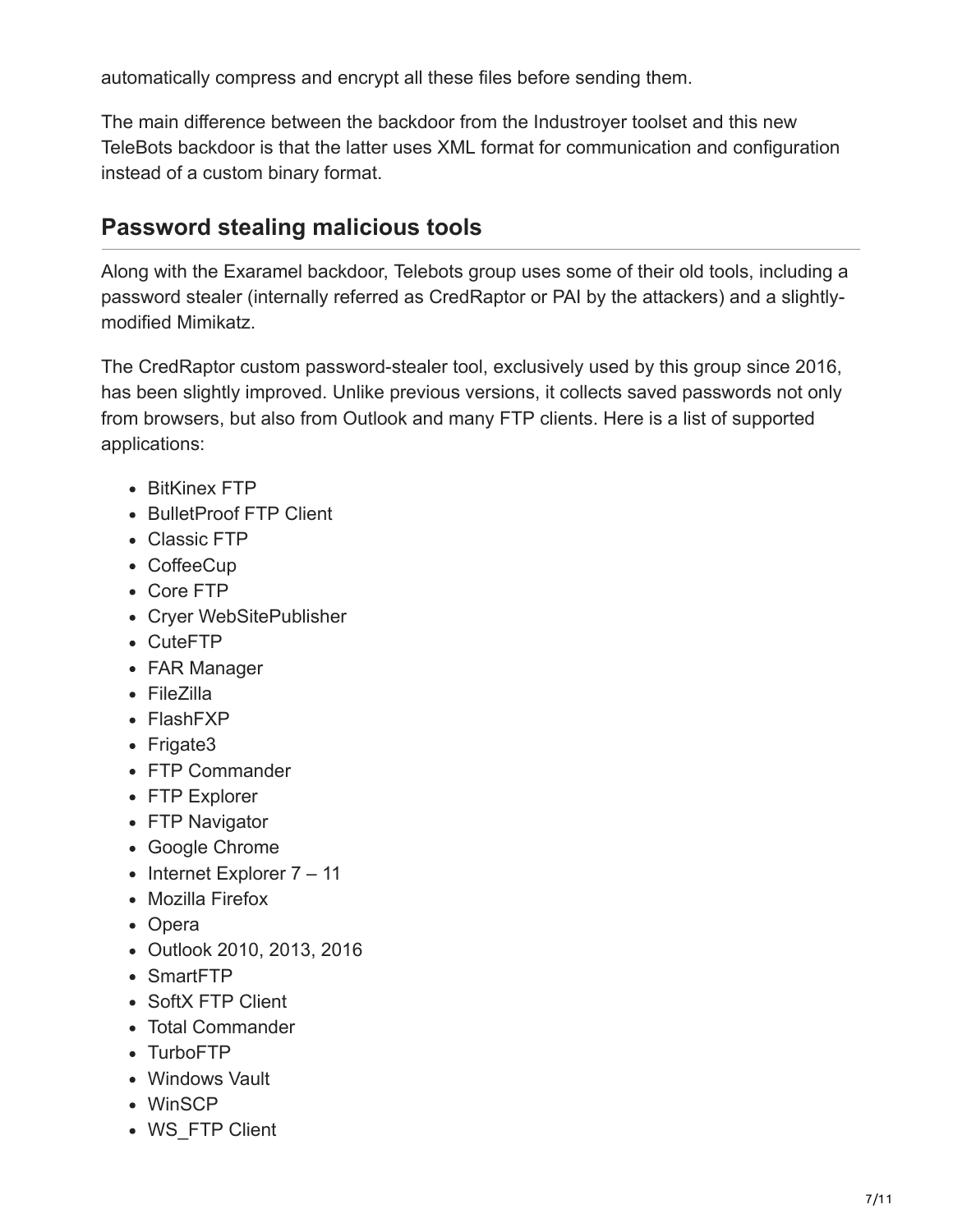automatically compress and encrypt all these files before sending them.

The main difference between the backdoor from the Industroyer toolset and this new TeleBots backdoor is that the latter uses XML format for communication and configuration instead of a custom binary format.

### **Password stealing malicious tools**

Along with the Exaramel backdoor, Telebots group uses some of their old tools, including a password stealer (internally referred as CredRaptor or PAI by the attackers) and a slightlymodified Mimikatz.

The CredRaptor custom password-stealer tool, exclusively used by this group since 2016, has been slightly improved. Unlike previous versions, it collects saved passwords not only from browsers, but also from Outlook and many FTP clients. Here is a list of supported applications:

- BitKinex FTP
- BulletProof FTP Client
- Classic FTP
- CoffeeCup
- Core FTP
- Cryer WebSitePublisher
- CuteFTP
- FAR Manager
- FileZilla
- FlashFXP
- Frigate3
- FTP Commander
- FTP Explorer
- FTP Navigator
- Google Chrome
- $\bullet$  Internet Explorer  $7 11$
- Mozilla Firefox
- Opera
- Outlook 2010, 2013, 2016
- SmartFTP
- SoftX FTP Client
- Total Commander
- TurboFTP
- Windows Vault
- WinSCP
- WS FTP Client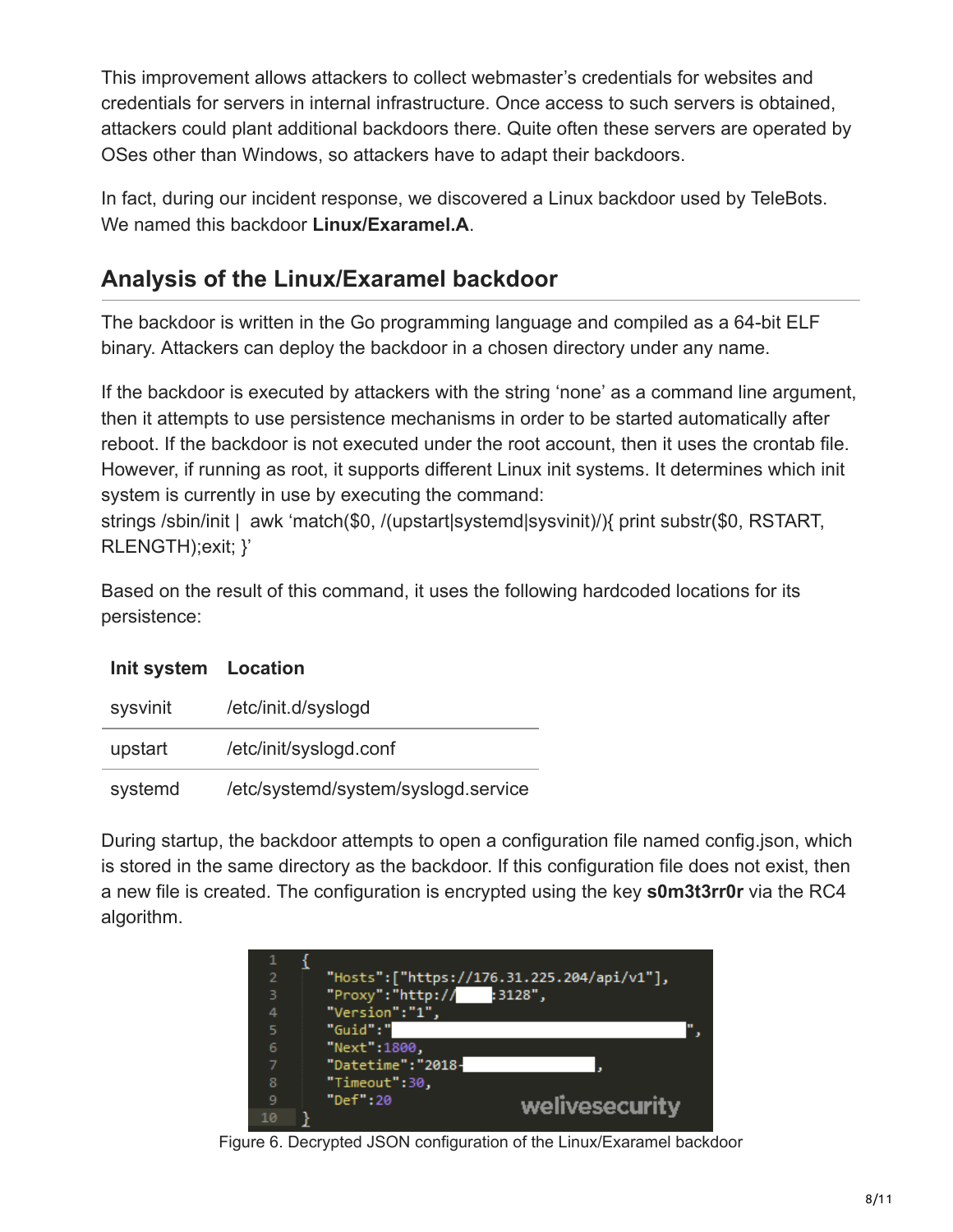This improvement allows attackers to collect webmaster's credentials for websites and credentials for servers in internal infrastructure. Once access to such servers is obtained, attackers could plant additional backdoors there. Quite often these servers are operated by OSes other than Windows, so attackers have to adapt their backdoors.

In fact, during our incident response, we discovered a Linux backdoor used by TeleBots. We named this backdoor **Linux/Exaramel.A**.

### **Analysis of the Linux/Exaramel backdoor**

The backdoor is written in the Go programming language and compiled as a 64-bit ELF binary. Attackers can deploy the backdoor in a chosen directory under any name.

If the backdoor is executed by attackers with the string 'none' as a command line argument, then it attempts to use persistence mechanisms in order to be started automatically after reboot. If the backdoor is not executed under the root account, then it uses the crontab file. However, if running as root, it supports different Linux init systems. It determines which init system is currently in use by executing the command:

strings /sbin/init | awk 'match(\$0, /(upstart|systemd|sysvinit)/){ print substr(\$0, RSTART, RLENGTH);exit; }'

Based on the result of this command, it uses the following hardcoded locations for its persistence:

| Init system Location |                                     |
|----------------------|-------------------------------------|
| sysvinit             | /etc/init.d/syslogd                 |
| upstart              | /etc/init/syslogd.conf              |
| systemd              | /etc/systemd/system/syslogd.service |

During startup, the backdoor attempts to open a configuration file named config.json, which is stored in the same directory as the backdoor. If this configuration file does not exist, then a new file is created. The configuration is encrypted using the key **s0m3t3rr0r** via the RC4 algorithm.

| $\overline{2}$ | "Hosts":["https://176.31.225.204/api/v1"], |  |
|----------------|--------------------------------------------|--|
| з              | "Proxy":"http:// :3128",                   |  |
| 4              | "Version":"1",                             |  |
| 5              | "Guid":"                                   |  |
| 6              | "Next":1800,                               |  |
|                | "Datetime": "2018-                         |  |
| 8              | "Timeout":30,                              |  |
| 9              | "Def":20<br>welivesecurity                 |  |
| 10             |                                            |  |

Figure 6. Decrypted JSON configuration of the Linux/Exaramel backdoor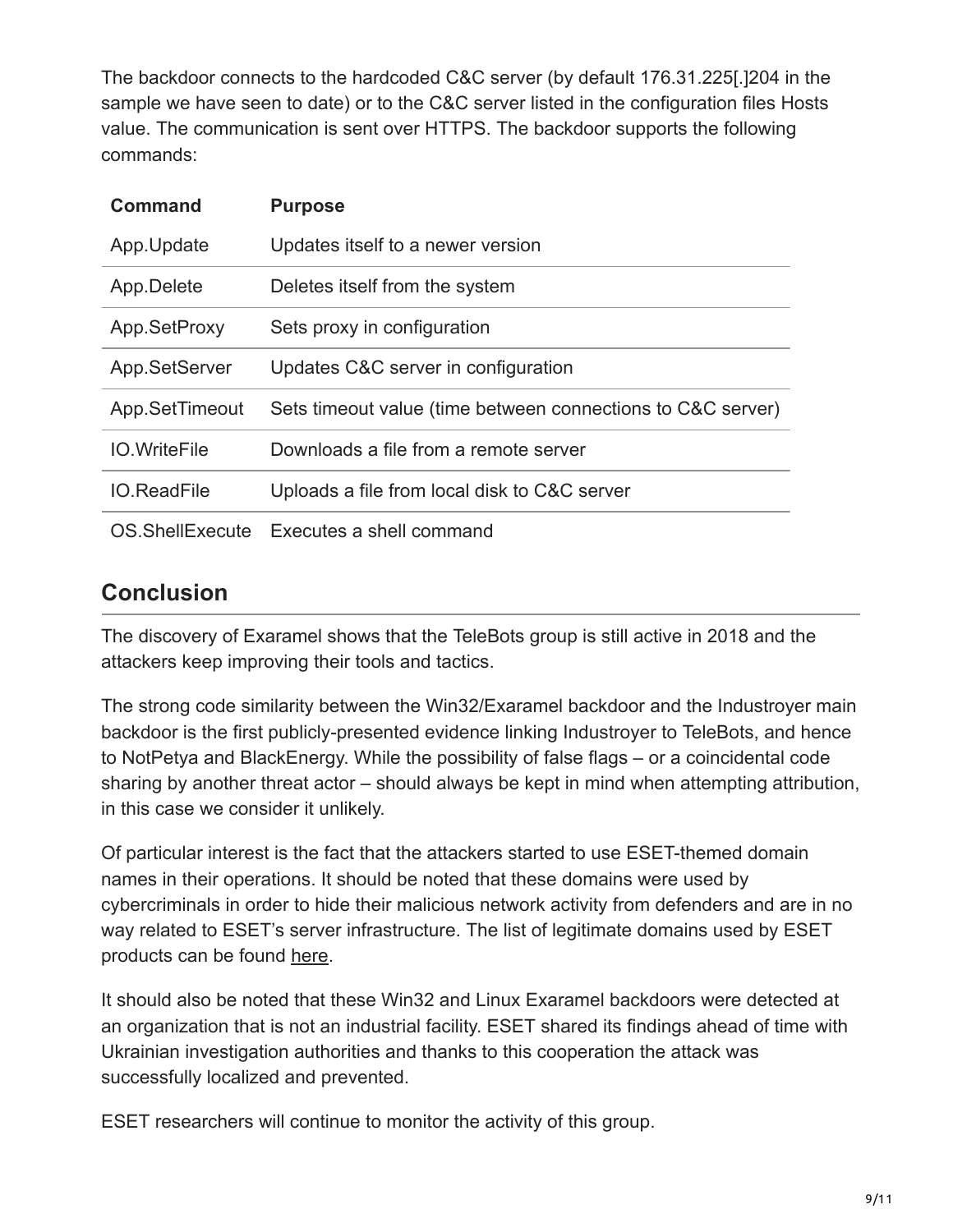The backdoor connects to the hardcoded C&C server (by default 176.31.225[.]204 in the sample we have seen to date) or to the C&C server listed in the configuration files Hosts value. The communication is sent over HTTPS. The backdoor supports the following commands:

| <b>Command</b>      | <b>Purpose</b>                                              |
|---------------------|-------------------------------------------------------------|
| App.Update          | Updates itself to a newer version                           |
| App.Delete          | Deletes itself from the system                              |
| App.SetProxy        | Sets proxy in configuration                                 |
| App.SetServer       | Updates C&C server in configuration                         |
| App.SetTimeout      | Sets timeout value (time between connections to C&C server) |
| <b>IO.WriteFile</b> | Downloads a file from a remote server                       |
| <b>IO.ReadFile</b>  | Uploads a file from local disk to C&C server                |
|                     | OS. ShellExecute Executes a shell command                   |

### **Conclusion**

The discovery of Exaramel shows that the TeleBots group is still active in 2018 and the attackers keep improving their tools and tactics.

The strong code similarity between the Win32/Exaramel backdoor and the Industroyer main backdoor is the first publicly-presented evidence linking Industroyer to TeleBots, and hence to NotPetya and BlackEnergy. While the possibility of false flags – or a coincidental code sharing by another threat actor – should always be kept in mind when attempting attribution, in this case we consider it unlikely.

Of particular interest is the fact that the attackers started to use ESET-themed domain names in their operations. It should be noted that these domains were used by cybercriminals in order to hide their malicious network activity from defenders and are in no way related to ESET's server infrastructure. The list of legitimate domains used by ESET products can be found [here](https://support.eset.com/kb332/?locale=en_US&viewlocale=en_US).

It should also be noted that these Win32 and Linux Exaramel backdoors were detected at an organization that is not an industrial facility. ESET shared its findings ahead of time with Ukrainian investigation authorities and thanks to this cooperation the attack was successfully localized and prevented.

ESET researchers will continue to monitor the activity of this group.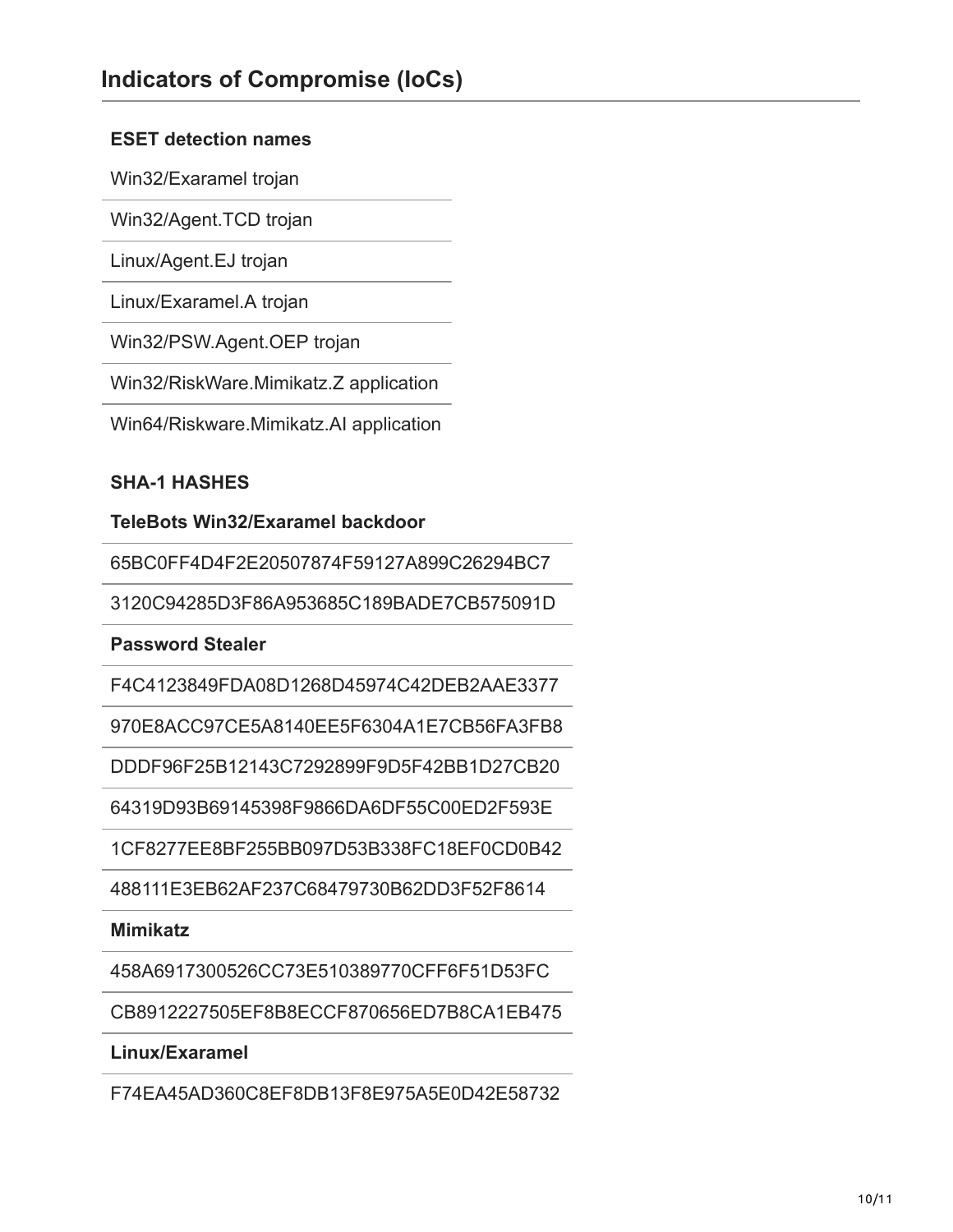#### **ESET detection names**

Win32/Exaramel trojan

Win32/Agent.TCD trojan

Linux/Agent.EJ trojan

Linux/Exaramel.A trojan

Win32/PSW.Agent.OEP trojan

Win32/RiskWare.Mimikatz.Z application

Win64/Riskware.Mimikatz.AI application

#### **SHA-1 HASHES**

**TeleBots Win32/Exaramel backdoor**

65BC0FF4D4F2E20507874F59127A899C26294BC7

3120C94285D3F86A953685C189BADE7CB575091D

**Password Stealer**

F4C4123849FDA08D1268D45974C42DEB2AAE3377

970E8ACC97CE5A8140EE5F6304A1E7CB56FA3FB8

DDDF96F25B12143C7292899F9D5F42BB1D27CB20

64319D93B69145398F9866DA6DF55C00ED2F593E

1CF8277EE8BF255BB097D53B338FC18EF0CD0B42

488111E3EB62AF237C68479730B62DD3F52F8614

#### **Mimikatz**

458A6917300526CC73E510389770CFF6F51D53FC

CB8912227505EF8B8ECCF870656ED7B8CA1EB475

**Linux/Exaramel**

F74EA45AD360C8EF8DB13F8E975A5E0D42E58732